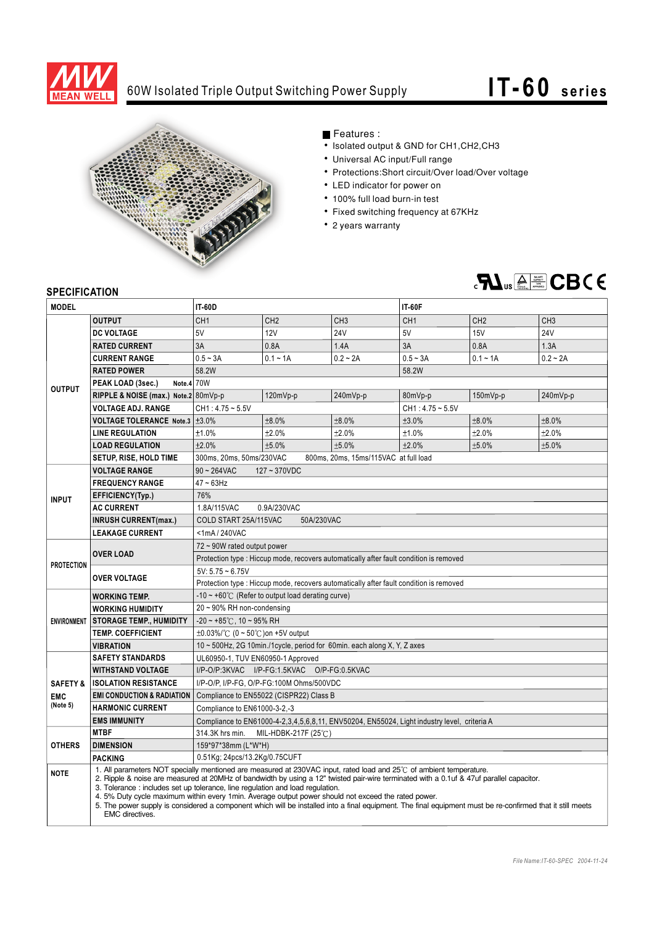

## 60W Isolated Triple Output Switching Power Supply



## Features :

- Isolated output & GND for CH1, CH2, CH3
- Universal AC input/Full range
- Protections: Short circuit/Over load/Over voltage
- LED indicator for power on
- 100% full load burn-in test
- Fixed switching frequency at 67KHz
- 2 years warranty



## **SPECIFICATION**

| <b>MODEL</b>                                  |                                                                                                                                                                                                                                                                                                                                                                                                                                                                                                                                                                                                                                          | <b>IT-60D</b>                                                                               |                 |                 | <b>IT-60F</b>      |                 |                 |
|-----------------------------------------------|------------------------------------------------------------------------------------------------------------------------------------------------------------------------------------------------------------------------------------------------------------------------------------------------------------------------------------------------------------------------------------------------------------------------------------------------------------------------------------------------------------------------------------------------------------------------------------------------------------------------------------------|---------------------------------------------------------------------------------------------|-----------------|-----------------|--------------------|-----------------|-----------------|
| <b>OUTPUT</b>                                 |                                                                                                                                                                                                                                                                                                                                                                                                                                                                                                                                                                                                                                          | CH <sub>1</sub>                                                                             | CH <sub>2</sub> | CH <sub>3</sub> | CH <sub>1</sub>    | CH <sub>2</sub> | CH <sub>3</sub> |
| <b>OUTPUT</b>                                 | <b>DC VOLTAGE</b>                                                                                                                                                                                                                                                                                                                                                                                                                                                                                                                                                                                                                        | 5V                                                                                          | 12V             | <b>24V</b>      | 5V                 | 15V             | <b>24V</b>      |
|                                               | <b>RATED CURRENT</b>                                                                                                                                                                                                                                                                                                                                                                                                                                                                                                                                                                                                                     | 3A                                                                                          | 0.8A            | 1.4A            | 3A                 | 0.8A            | 1.3A            |
|                                               | <b>CURRENT RANGE</b>                                                                                                                                                                                                                                                                                                                                                                                                                                                                                                                                                                                                                     | $0.5 - 3A$                                                                                  | $0.1 - 1A$      | $0.2 - 2A$      | $0.5 - 3A$         | $0.1 - 1A$      | $0.2 - 2A$      |
|                                               | <b>RATED POWER</b>                                                                                                                                                                                                                                                                                                                                                                                                                                                                                                                                                                                                                       | 58.2W                                                                                       |                 |                 | 58.2W              |                 |                 |
|                                               | Note.4 70W<br>PEAK LOAD (3sec.)                                                                                                                                                                                                                                                                                                                                                                                                                                                                                                                                                                                                          |                                                                                             |                 |                 |                    |                 |                 |
|                                               | RIPPLE & NOISE (max.) Note.2 80mVp-p                                                                                                                                                                                                                                                                                                                                                                                                                                                                                                                                                                                                     |                                                                                             | 120mVp-p        | 240mVp-p        | 80mVp-p            | $150mVp-p$      | 240mVp-p        |
|                                               | <b>VOLTAGE ADJ. RANGE</b>                                                                                                                                                                                                                                                                                                                                                                                                                                                                                                                                                                                                                | $CH1:4.75 \sim 5.5V$                                                                        |                 |                 | $CH1: 4.75 - 5.5V$ |                 |                 |
|                                               | <b>VOLTAGE TOLERANCE Note.3</b>                                                                                                                                                                                                                                                                                                                                                                                                                                                                                                                                                                                                          | ±3.0%                                                                                       | ±8.0%           | ±8.0%           | ±3.0%              | ±8.0%           | ±8.0%           |
|                                               | <b>LINE REGULATION</b>                                                                                                                                                                                                                                                                                                                                                                                                                                                                                                                                                                                                                   | ±1.0%                                                                                       | ±2.0%           | ±2.0%           | ±1.0%              | ±2.0%           | ±2.0%           |
|                                               | <b>LOAD REGULATION</b>                                                                                                                                                                                                                                                                                                                                                                                                                                                                                                                                                                                                                   | ±2.0%                                                                                       | ±5.0%           | ±5.0%           | ±2.0%              | ±5.0%           | ±5.0%           |
|                                               | <b>SETUP, RISE, HOLD TIME</b>                                                                                                                                                                                                                                                                                                                                                                                                                                                                                                                                                                                                            | 300ms, 20ms, 50ms/230VAC<br>800ms, 20ms, 15ms/115VAC at full load                           |                 |                 |                    |                 |                 |
| <b>INPUT</b>                                  | <b>VOLTAGE RANGE</b>                                                                                                                                                                                                                                                                                                                                                                                                                                                                                                                                                                                                                     | $90 - 264$ VAC<br>$127 - 370$ VDC                                                           |                 |                 |                    |                 |                 |
|                                               | <b>FREQUENCY RANGE</b>                                                                                                                                                                                                                                                                                                                                                                                                                                                                                                                                                                                                                   | $47 \sim 63$ Hz                                                                             |                 |                 |                    |                 |                 |
|                                               | EFFICIENCY(Typ.)                                                                                                                                                                                                                                                                                                                                                                                                                                                                                                                                                                                                                         | 76%                                                                                         |                 |                 |                    |                 |                 |
|                                               | <b>AC CURRENT</b>                                                                                                                                                                                                                                                                                                                                                                                                                                                                                                                                                                                                                        | 1.8A/115VAC<br>0.9A/230VAC                                                                  |                 |                 |                    |                 |                 |
|                                               | <b>INRUSH CURRENT(max.)</b>                                                                                                                                                                                                                                                                                                                                                                                                                                                                                                                                                                                                              | COLD START 25A/115VAC<br>50A/230VAC                                                         |                 |                 |                    |                 |                 |
|                                               | <b>LEAKAGE CURRENT</b>                                                                                                                                                                                                                                                                                                                                                                                                                                                                                                                                                                                                                   | $<$ 1mA/240VAC                                                                              |                 |                 |                    |                 |                 |
| <b>PROTECTION</b>                             | <b>OVER LOAD</b>                                                                                                                                                                                                                                                                                                                                                                                                                                                                                                                                                                                                                         | 72 ~ 90W rated output power                                                                 |                 |                 |                    |                 |                 |
|                                               |                                                                                                                                                                                                                                                                                                                                                                                                                                                                                                                                                                                                                                          | Protection type : Hiccup mode, recovers automatically after fault condition is removed      |                 |                 |                    |                 |                 |
|                                               | <b>OVER VOLTAGE</b>                                                                                                                                                                                                                                                                                                                                                                                                                                                                                                                                                                                                                      | $5V: 5.75 \sim 6.75V$                                                                       |                 |                 |                    |                 |                 |
|                                               |                                                                                                                                                                                                                                                                                                                                                                                                                                                                                                                                                                                                                                          | Protection type : Hiccup mode, recovers automatically after fault condition is removed      |                 |                 |                    |                 |                 |
| <b>ENVIRONMENT</b>                            | <b>WORKING TEMP.</b>                                                                                                                                                                                                                                                                                                                                                                                                                                                                                                                                                                                                                     | $-10 \sim +60^{\circ}$ (Refer to output load derating curve)                                |                 |                 |                    |                 |                 |
|                                               | <b>WORKING HUMIDITY</b>                                                                                                                                                                                                                                                                                                                                                                                                                                                                                                                                                                                                                  | 20~90% RH non-condensing                                                                    |                 |                 |                    |                 |                 |
|                                               | <b>STORAGE TEMP., HUMIDITY</b>                                                                                                                                                                                                                                                                                                                                                                                                                                                                                                                                                                                                           | $-20 \sim +85^{\circ}$ C, 10 ~ 95% RH                                                       |                 |                 |                    |                 |                 |
|                                               | <b>TEMP. COEFFICIENT</b>                                                                                                                                                                                                                                                                                                                                                                                                                                                                                                                                                                                                                 | $\pm 0.03\%$ / $\degree$ (0 ~ 50 $\degree$ C) on +5V output                                 |                 |                 |                    |                 |                 |
|                                               | <b>VIBRATION</b>                                                                                                                                                                                                                                                                                                                                                                                                                                                                                                                                                                                                                         | 10 ~ 500Hz, 2G 10min./1cycle, period for 60min. each along X, Y, Z axes                     |                 |                 |                    |                 |                 |
| <b>SAFETY &amp;</b><br><b>EMC</b><br>(Note 5) | <b>SAFETY STANDARDS</b>                                                                                                                                                                                                                                                                                                                                                                                                                                                                                                                                                                                                                  | UL60950-1, TUV EN60950-1 Approved                                                           |                 |                 |                    |                 |                 |
|                                               | <b>WITHSTAND VOLTAGE</b>                                                                                                                                                                                                                                                                                                                                                                                                                                                                                                                                                                                                                 | I/P-O/P:3KVAC I/P-FG:1.5KVAC O/P-FG:0.5KVAC                                                 |                 |                 |                    |                 |                 |
|                                               | <b>ISOLATION RESISTANCE</b>                                                                                                                                                                                                                                                                                                                                                                                                                                                                                                                                                                                                              | I/P-O/P, I/P-FG, O/P-FG:100M Ohms/500VDC                                                    |                 |                 |                    |                 |                 |
|                                               | <b>EMI CONDUCTION &amp; RADIATION</b>                                                                                                                                                                                                                                                                                                                                                                                                                                                                                                                                                                                                    | Compliance to EN55022 (CISPR22) Class B                                                     |                 |                 |                    |                 |                 |
|                                               | <b>HARMONIC CURRENT</b>                                                                                                                                                                                                                                                                                                                                                                                                                                                                                                                                                                                                                  | Compliance to EN61000-3-2,-3                                                                |                 |                 |                    |                 |                 |
|                                               | <b>EMS IMMUNITY</b>                                                                                                                                                                                                                                                                                                                                                                                                                                                                                                                                                                                                                      | Compliance to EN61000-4-2,3,4,5,6,8,11, ENV50204, EN55024, Light industry level, criteria A |                 |                 |                    |                 |                 |
| <b>OTHERS</b>                                 | <b>MTBF</b>                                                                                                                                                                                                                                                                                                                                                                                                                                                                                                                                                                                                                              | 314.3K hrs min.<br>MIL-HDBK-217F (25℃)                                                      |                 |                 |                    |                 |                 |
|                                               | <b>DIMENSION</b>                                                                                                                                                                                                                                                                                                                                                                                                                                                                                                                                                                                                                         | 159*97*38mm (L*W*H)                                                                         |                 |                 |                    |                 |                 |
|                                               | <b>PACKING</b>                                                                                                                                                                                                                                                                                                                                                                                                                                                                                                                                                                                                                           | 0.51Kg; 24pcs/13.2Kg/0.75CUFT                                                               |                 |                 |                    |                 |                 |
| <b>NOTE</b>                                   | 1. All parameters NOT specially mentioned are measured at 230VAC input, rated load and 25°C of ambient temperature.<br>2. Ripple & noise are measured at 20MHz of bandwidth by using a 12" twisted pair-wire terminated with a 0.1uf & 47uf parallel capacitor.<br>3. Tolerance: includes set up tolerance, line regulation and load regulation.<br>4.5% Duty cycle maximum within every 1 min. Average output power should not exceed the rated power.<br>5. The power supply is considered a component which will be installed into a final equipment. The final equipment must be re-confirmed that it still meets<br>EMC directives. |                                                                                             |                 |                 |                    |                 |                 |